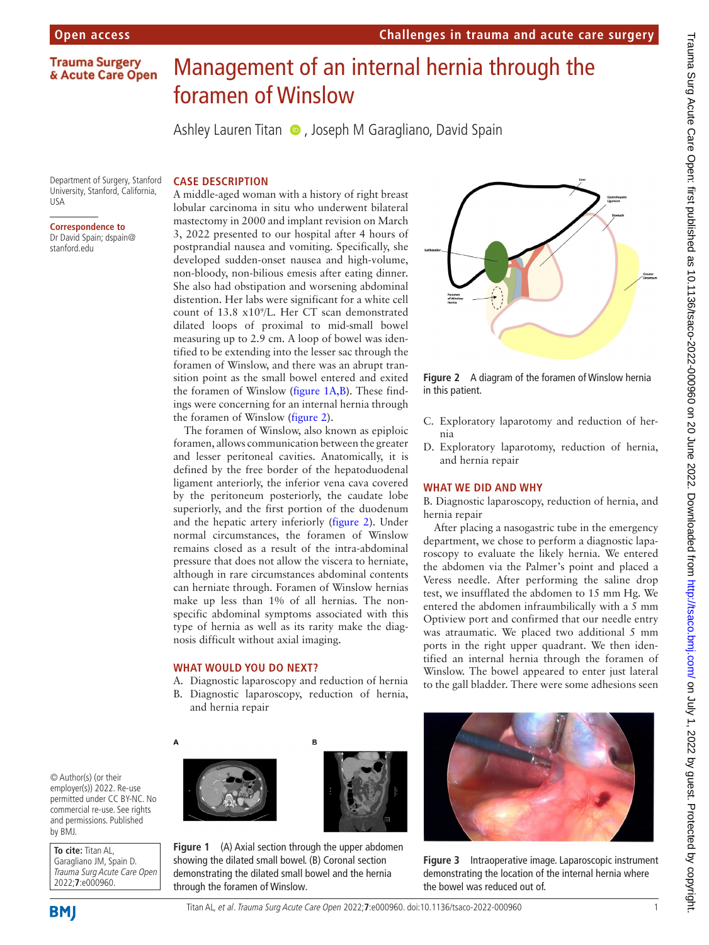**Trauma Surgery** & Acute Care Open

# Management of an internal hernia through the foramen of Winslow

AshleyLauren Titan  $\bullet$ , Joseph M Garagliano, David Spain

Department of Surgery, Stanford University, Stanford, California, USA

**Correspondence to** Dr David Spain; dspain@ stanford.edu

## **CASE DESCRIPTION**

A middle-aged woman with a history of right breast lobular carcinoma in situ who underwent bilateral mastectomy in 2000 and implant revision on March 3, 2022 presented to our hospital after 4 hours of postprandial nausea and vomiting. Specifically, she developed sudden-onset nausea and high-volume, non-bloody, non-bilious emesis after eating dinner. She also had obstipation and worsening abdominal distention. Her labs were significant for a white cell count of 13.8 x109 /L. Her CT scan demonstrated dilated loops of proximal to mid-small bowel measuring up to 2.9 cm. A loop of bowel was identified to be extending into the lesser sac through the foramen of Winslow, and there was an abrupt transition point as the small bowel entered and exited the foramen of Winslow [\(figure](#page-0-0) 1A,B). These findings were concerning for an internal hernia through the foramen of Winslow ([figure](#page-0-1) 2).

The foramen of Winslow, also known as epiploic foramen, allows communication between the greater and lesser peritoneal cavities. Anatomically, it is defined by the free border of the hepatoduodenal ligament anteriorly, the inferior vena cava covered by the peritoneum posteriorly, the caudate lobe superiorly, and the first portion of the duodenum and the hepatic artery inferiorly [\(figure](#page-0-1) 2). Under normal circumstances, the foramen of Winslow remains closed as a result of the intra-abdominal pressure that does not allow the viscera to herniate, although in rare circumstances abdominal contents can herniate through. Foramen of Winslow hernias make up less than 1% of all hernias. The nonspecific abdominal symptoms associated with this type of hernia as well as its rarity make the diagnosis difficult without axial imaging.

### **WHAT WOULD YOU DO NEXT?**

- A. Diagnostic laparoscopy and reduction of hernia B. Diagnostic laparoscopy, reduction of hernia,
	- and hernia repair



© Author(s) (or their employer(s)) 2022. Re-use permitted under CC BY-NC. No commercial re-use. See rights and permissions. Published by BMJ.

**To cite:** Titan AL, Garagliano JM, Spain D. Trauma Surg Acute Care Open 2022;**7**:e000960.

<span id="page-0-0"></span>



**Figure 1** (A) Axial section through the upper abdomen showing the dilated small bowel. (B) Coronal section demonstrating the dilated small bowel and the hernia through the foramen of Winslow.



**Challenges in trauma and acute care surgery**

<span id="page-0-1"></span>**Figure 2** A diagram of the foramen of Winslow hernia in this patient.

- C. Exploratory laparotomy and reduction of hernia
- D. Exploratory laparotomy, reduction of hernia, and hernia repair

#### **WHAT WE DID AND WHY**

B. Diagnostic laparoscopy, reduction of hernia, and hernia repair

After placing a nasogastric tube in the emergency department, we chose to perform a diagnostic laparoscopy to evaluate the likely hernia. We entered the abdomen via the Palmer's point and placed a Veress needle. After performing the saline drop test, we insufflated the abdomen to 15 mm Hg. We entered the abdomen infraumbilically with a 5 mm Optiview port and confirmed that our needle entry was atraumatic. We placed two additional 5 mm ports in the right upper quadrant. We then identified an internal hernia through the foramen of Winslow. The bowel appeared to enter just lateral to the gall bladder. There were some adhesions seen

<span id="page-0-2"></span>

**Figure 3** Intraoperative image. Laparoscopic instrument demonstrating the location of the internal hernia where the bowel was reduced out of.